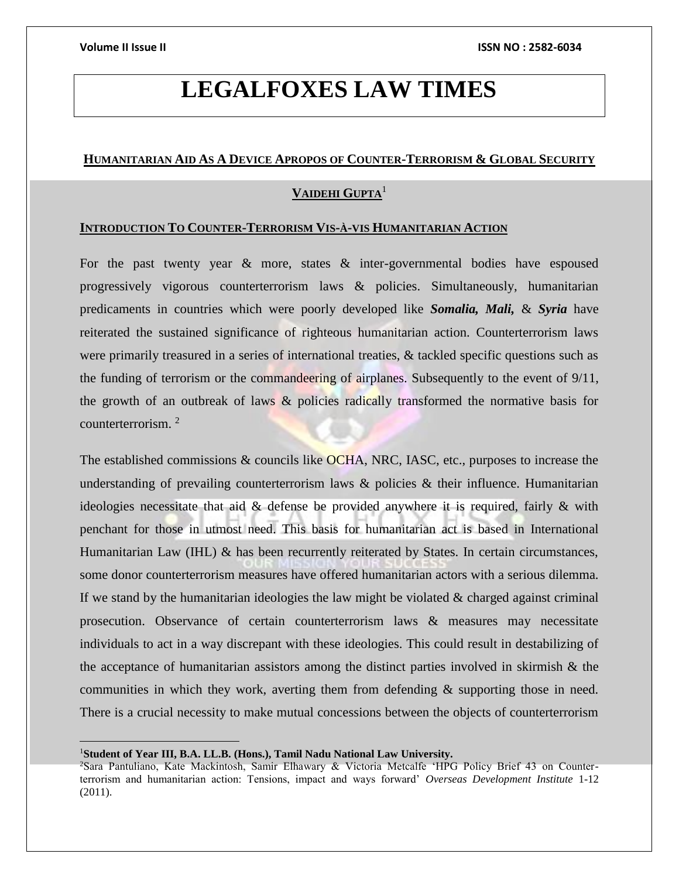# **LEGALFOXES LAW TIMES**

# **HUMANITARIAN AID AS A DEVICE APROPOS OF COUNTER-TERRORISM & GLOBAL SECURITY**

# **VAIDEHI GUPTA**<sup>1</sup>

## **INTRODUCTION TO COUNTER-TERRORISM VIS-À-VIS HUMANITARIAN ACTION**

For the past twenty year  $\&$  more, states  $\&$  inter-governmental bodies have espoused progressively vigorous counterterrorism laws & policies. Simultaneously, humanitarian predicaments in countries which were poorly developed like *Somalia, Mali,* & *Syria* have reiterated the sustained significance of righteous humanitarian action. Counterterrorism laws were primarily treasured in a series of international treaties, & tackled specific questions such as the funding of terrorism or the commandeering of airplanes. Subsequently to the event of 9/11, the growth of an outbreak of laws  $\&$  policies radically transformed the normative basis for counterterrorism. <sup>2</sup>

The established commissions & councils like OCHA, NRC, IASC, etc., purposes to increase the understanding of prevailing counterterrorism laws  $\&$  policies  $\&$  their influence. Humanitarian ideologies necessitate that aid & defense be provided anywhere it is required, fairly & with penchant for those in utmost need. This basis for humanitarian act is based in International Humanitarian Law (IHL) & has been recurrently reiterated by States. In certain circumstances, some donor counterterrorism measures have offered humanitarian actors with a serious dilemma. If we stand by the humanitarian ideologies the law might be violated  $\&$  charged against criminal prosecution. Observance of certain counterterrorism laws & measures may necessitate individuals to act in a way discrepant with these ideologies. This could result in destabilizing of the acceptance of humanitarian assistors among the distinct parties involved in skirmish  $\&$  the communities in which they work, averting them from defending & supporting those in need. There is a crucial necessity to make mutual concessions between the objects of counterterrorism

<sup>1</sup>**Student of Year III, B.A. LL.B. (Hons.), Tamil Nadu National Law University.**

<sup>2</sup>Sara Pantuliano, Kate Mackintosh, Samir Elhawary & Victoria Metcalfe 'HPG Policy Brief 43 on Counterterrorism and humanitarian action: Tensions, impact and ways forward' *Overseas Development Institute* 1-12 (2011).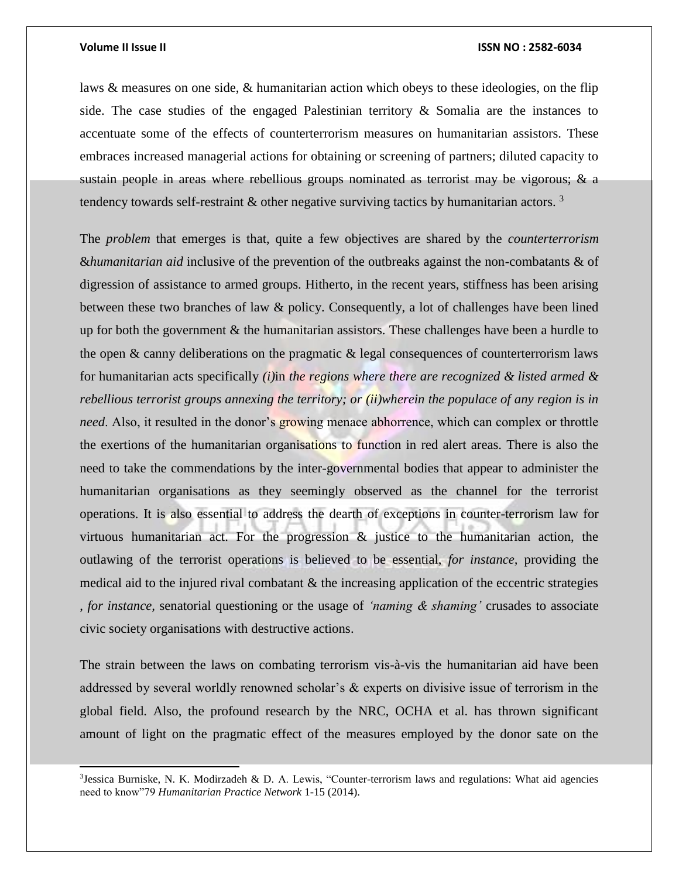j

### **Volume II Issue II ISSN NO : 2582-6034**

laws & measures on one side, & humanitarian action which obeys to these ideologies, on the flip side. The case studies of the engaged Palestinian territory  $\&$  Somalia are the instances to accentuate some of the effects of counterterrorism measures on humanitarian assistors. These embraces increased managerial actions for obtaining or screening of partners; diluted capacity to sustain people in areas where rebellious groups nominated as terrorist may be vigorous; & a tendency towards self-restraint  $\&$  other negative surviving tactics by humanitarian actors.<sup>3</sup>

The *problem* that emerges is that, quite a few objectives are shared by the *counterterrorism*  &*humanitarian aid* inclusive of the prevention of the outbreaks against the non-combatants & of digression of assistance to armed groups. Hitherto, in the recent years, stiffness has been arising between these two branches of law & policy. Consequently, a lot of challenges have been lined up for both the government  $\&$  the humanitarian assistors. These challenges have been a hurdle to the open & canny deliberations on the pragmatic & legal consequences of counterterrorism laws for humanitarian acts specifically *(i)*in *the regions where there are recognized & listed armed & rebellious terrorist groups annexing the territory; or (ii)wherein the populace of any region is in need*. Also, it resulted in the donor's growing menace abhorrence, which can complex or throttle the exertions of the humanitarian organisations to function in red alert areas. There is also the need to take the commendations by the inter-governmental bodies that appear to administer the humanitarian organisations as they seemingly observed as the channel for the terrorist operations. It is also essential to address the dearth of exceptions in counter-terrorism law for virtuous humanitarian act. For the progression  $\&$  justice to the humanitarian action, the outlawing of the terrorist operations is believed to be essential, *for instance,* providing the medical aid to the injured rival combatant  $\&$  the increasing application of the eccentric strategies , *for instance,* senatorial questioning or the usage of *'naming & shaming'* crusades to associate civic society organisations with destructive actions.

The strain between the laws on combating terrorism vis-à-vis the humanitarian aid have been addressed by several worldly renowned scholar's & experts on divisive issue of terrorism in the global field. Also, the profound research by the NRC, OCHA et al. has thrown significant amount of light on the pragmatic effect of the measures employed by the donor sate on the

<sup>&</sup>lt;sup>3</sup>Jessica Burniske, N. K. Modirzadeh & D. A. Lewis, "Counter-terrorism laws and regulations: What aid agencies need to know"79 *Humanitarian Practice Network* 1-15 (2014).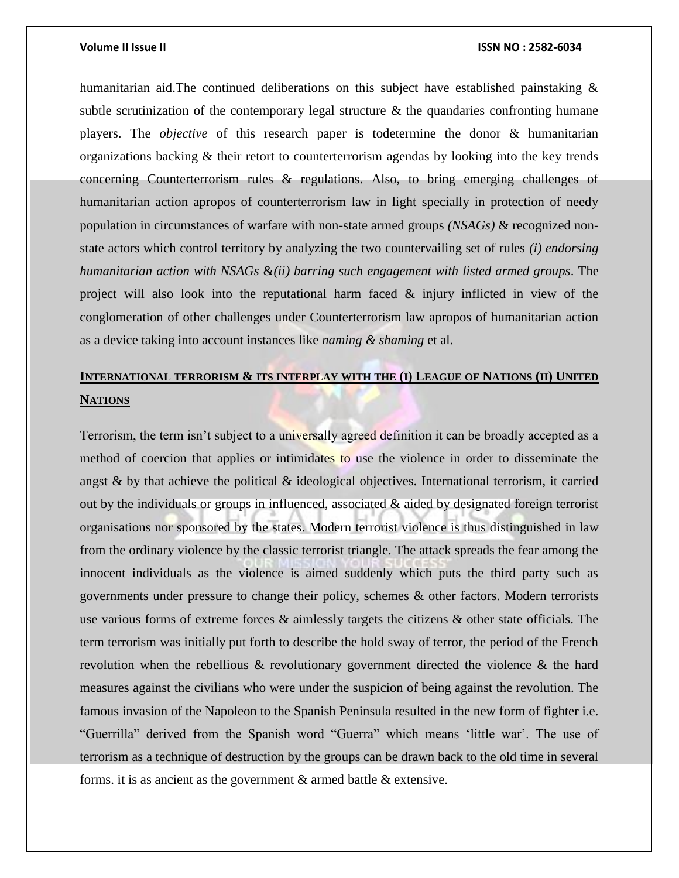humanitarian aid.The continued deliberations on this subject have established painstaking & subtle scrutinization of the contemporary legal structure  $\&$  the quandaries confronting humane players. The *objective* of this research paper is todetermine the donor & humanitarian organizations backing & their retort to counterterrorism agendas by looking into the key trends concerning Counterterrorism rules & regulations. Also, to bring emerging challenges of humanitarian action apropos of counterterrorism law in light specially in protection of needy population in circumstances of warfare with non-state armed groups *(NSAGs)* & recognized nonstate actors which control territory by analyzing the two countervailing set of rules *(i) endorsing humanitarian action with NSAGs* &*(ii) barring such engagement with listed armed groups*. The project will also look into the reputational harm faced & injury inflicted in view of the conglomeration of other challenges under Counterterrorism law apropos of humanitarian action as a device taking into account instances like *naming & shaming* et al.

# **INTERNATIONAL TERRORISM & ITS INTERPLAY WITH THE (I) LEAGUE OF NATIONS (II) UNITED NATIONS**

Terrorism, the term isn't subject to a universally agreed definition it can be broadly accepted as a method of coercion that applies or intimidates to use the violence in order to disseminate the angst  $\&$  by that achieve the political  $\&$  ideological objectives. International terrorism, it carried out by the individuals or groups in influenced, associated & aided by designated foreign terrorist organisations nor sponsored by the states. Modern terrorist violence is thus distinguished in law from the ordinary violence by the classic terrorist triangle. The attack spreads the fear among the innocent individuals as the violence is aimed suddenly which puts the third party such as governments under pressure to change their policy, schemes & other factors. Modern terrorists use various forms of extreme forces & aimlessly targets the citizens & other state officials. The term terrorism was initially put forth to describe the hold sway of terror, the period of the French revolution when the rebellious & revolutionary government directed the violence & the hard measures against the civilians who were under the suspicion of being against the revolution. The famous invasion of the Napoleon to the Spanish Peninsula resulted in the new form of fighter i.e. "Guerrilla" derived from the Spanish word "Guerra" which means 'little war'. The use of terrorism as a technique of destruction by the groups can be drawn back to the old time in several forms. it is as ancient as the government & armed battle & extensive.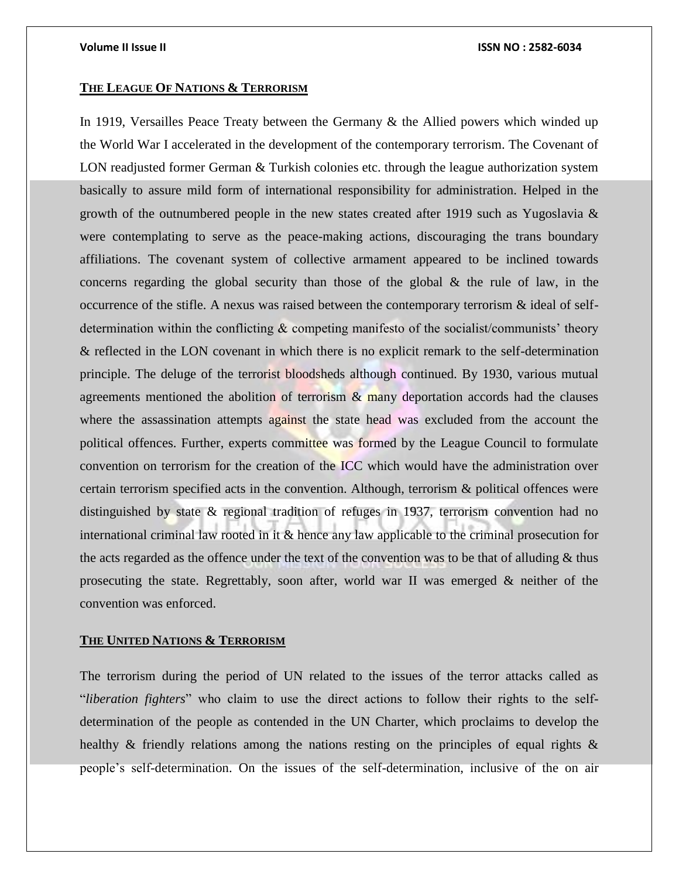### **THE LEAGUE OF NATIONS & TERRORISM**

In 1919, Versailles Peace Treaty between the Germany & the Allied powers which winded up the World War I accelerated in the development of the contemporary terrorism. The Covenant of LON readjusted former German & Turkish colonies etc. through the league authorization system basically to assure mild form of international responsibility for administration. Helped in the growth of the outnumbered people in the new states created after 1919 such as Yugoslavia & were contemplating to serve as the peace-making actions, discouraging the trans boundary affiliations. The covenant system of collective armament appeared to be inclined towards concerns regarding the global security than those of the global  $\&$  the rule of law, in the occurrence of the stifle. A nexus was raised between the contemporary terrorism & ideal of selfdetermination within the conflicting & competing manifesto of the socialist/communists' theory & reflected in the LON covenant in which there is no explicit remark to the self-determination principle. The deluge of the terrorist bloodsheds although continued. By 1930, various mutual agreements mentioned the abolition of terrorism  $\&$  many deportation accords had the clauses where the assassination attempts against the state head was excluded from the account the political offences. Further, experts committee was formed by the League Council to formulate convention on terrorism for the creation of the ICC which would have the administration over certain terrorism specified acts in the convention. Although, terrorism & political offences were distinguished by state & regional tradition of refuges in 1937, terrorism convention had no international criminal law rooted in it & hence any law applicable to the criminal prosecution for the acts regarded as the offence under the text of the convention was to be that of alluding & thus prosecuting the state. Regrettably, soon after, world war II was emerged & neither of the convention was enforced.

## **THE UNITED NATIONS & TERRORISM**

The terrorism during the period of UN related to the issues of the terror attacks called as "*liberation fighters*" who claim to use the direct actions to follow their rights to the selfdetermination of the people as contended in the UN Charter, which proclaims to develop the healthy & friendly relations among the nations resting on the principles of equal rights & people's self-determination. On the issues of the self-determination, inclusive of the on air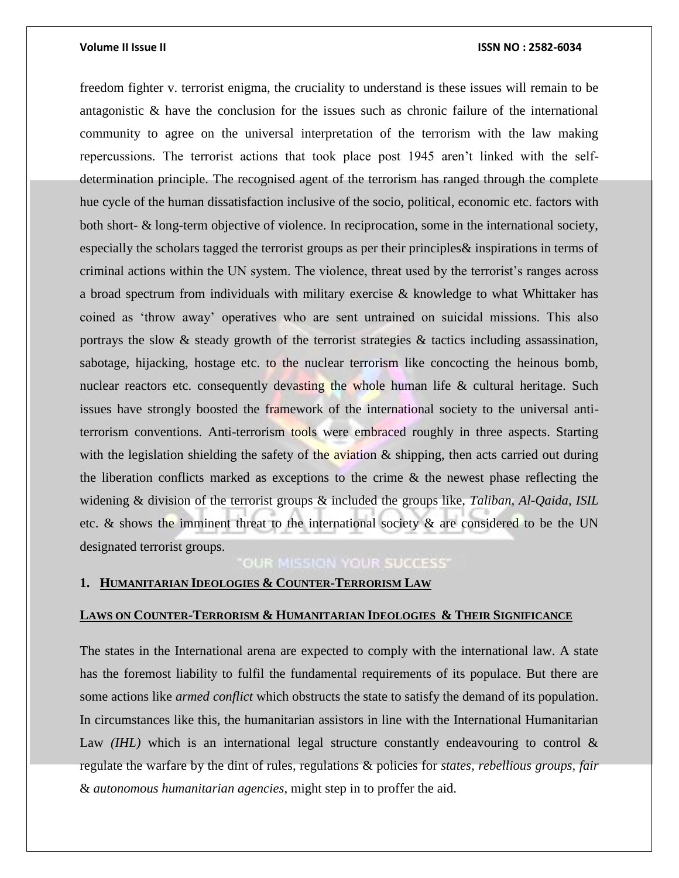freedom fighter v. terrorist enigma, the cruciality to understand is these issues will remain to be antagonistic & have the conclusion for the issues such as chronic failure of the international community to agree on the universal interpretation of the terrorism with the law making repercussions. The terrorist actions that took place post 1945 aren't linked with the selfdetermination principle. The recognised agent of the terrorism has ranged through the complete hue cycle of the human dissatisfaction inclusive of the socio, political, economic etc. factors with both short- & long-term objective of violence. In reciprocation, some in the international society, especially the scholars tagged the terrorist groups as per their principles& inspirations in terms of criminal actions within the UN system. The violence, threat used by the terrorist's ranges across a broad spectrum from individuals with military exercise & knowledge to what Whittaker has coined as 'throw away' operatives who are sent untrained on suicidal missions. This also portrays the slow & steady growth of the terrorist strategies & tactics including assassination, sabotage, hijacking, hostage etc. to the nuclear terrorism like concocting the heinous bomb, nuclear reactors etc. consequently devasting the whole human life  $\&$  cultural heritage. Such issues have strongly boosted the framework of the international society to the universal antiterrorism conventions. Anti-terrorism tools were embraced roughly in three aspects. Starting with the legislation shielding the safety of the aviation  $\&$  shipping, then acts carried out during the liberation conflicts marked as exceptions to the crime & the newest phase reflecting the widening & division of the terrorist groups & included the groups like, *Taliban, Al-Qaida, ISIL* etc. & shows the imminent threat to the international society & are considered to be the UN designated terrorist groups.

# OUR MISSION YOUR SUCCESS'

# **1. HUMANITARIAN IDEOLOGIES & COUNTER-TERRORISM LAW**

## **LAWS ON COUNTER-TERRORISM & HUMANITARIAN IDEOLOGIES & THEIR SIGNIFICANCE**

The states in the International arena are expected to comply with the international law. A state has the foremost liability to fulfil the fundamental requirements of its populace. But there are some actions like *armed conflict* which obstructs the state to satisfy the demand of its population. In circumstances like this, the humanitarian assistors in line with the International Humanitarian Law *(IHL)* which is an international legal structure constantly endeavouring to control  $\&$ regulate the warfare by the dint of rules, regulations & policies for *states, rebellious groups, fair*  & *autonomous humanitarian agencies*, might step in to proffer the aid.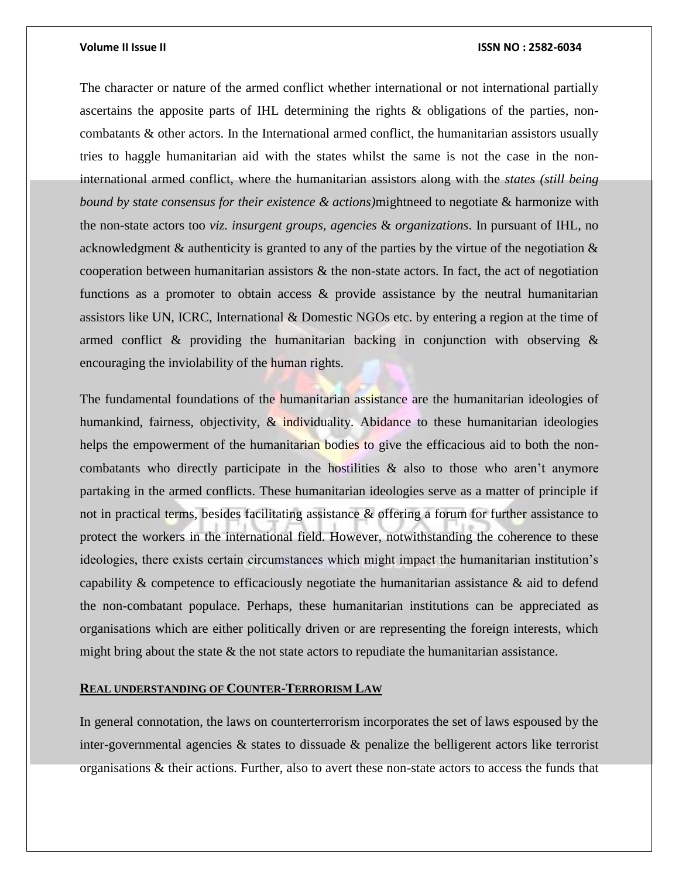The character or nature of the armed conflict whether international or not international partially ascertains the apposite parts of IHL determining the rights & obligations of the parties, noncombatants & other actors. In the International armed conflict, the humanitarian assistors usually tries to haggle humanitarian aid with the states whilst the same is not the case in the noninternational armed conflict, where the humanitarian assistors along with the *states (still being bound by state consensus for their existence & actions)*mightneed to negotiate & harmonize with the non-state actors too *viz. insurgent groups, agencies* & *organizations*. In pursuant of IHL, no acknowledgment  $\&$  authenticity is granted to any of the parties by the virtue of the negotiation  $\&$ cooperation between humanitarian assistors  $\&$  the non-state actors. In fact, the act of negotiation functions as a promoter to obtain access & provide assistance by the neutral humanitarian assistors like UN, ICRC, International & Domestic NGOs etc. by entering a region at the time of armed conflict & providing the humanitarian backing in conjunction with observing & encouraging the inviolability of the human rights.

The fundamental foundations of the humanitarian assistance are the humanitarian ideologies of humankind, fairness, objectivity, & individuality. Abidance to these humanitarian ideologies helps the empowerment of the humanitarian bodies to give the efficacious aid to both the noncombatants who directly participate in the hostilities & also to those who aren't anymore partaking in the armed conflicts. These humanitarian ideologies serve as a matter of principle if not in practical terms, besides facilitating assistance & offering a forum for further assistance to protect the workers in the international field. However, notwithstanding the coherence to these ideologies, there exists certain circumstances which might impact the humanitarian institution's capability & competence to efficaciously negotiate the humanitarian assistance & aid to defend the non-combatant populace. Perhaps, these humanitarian institutions can be appreciated as organisations which are either politically driven or are representing the foreign interests, which might bring about the state & the not state actors to repudiate the humanitarian assistance.

# **REAL UNDERSTANDING OF COUNTER-TERRORISM LAW**

In general connotation, the laws on counterterrorism incorporates the set of laws espoused by the inter-governmental agencies & states to dissuade & penalize the belligerent actors like terrorist organisations & their actions. Further, also to avert these non-state actors to access the funds that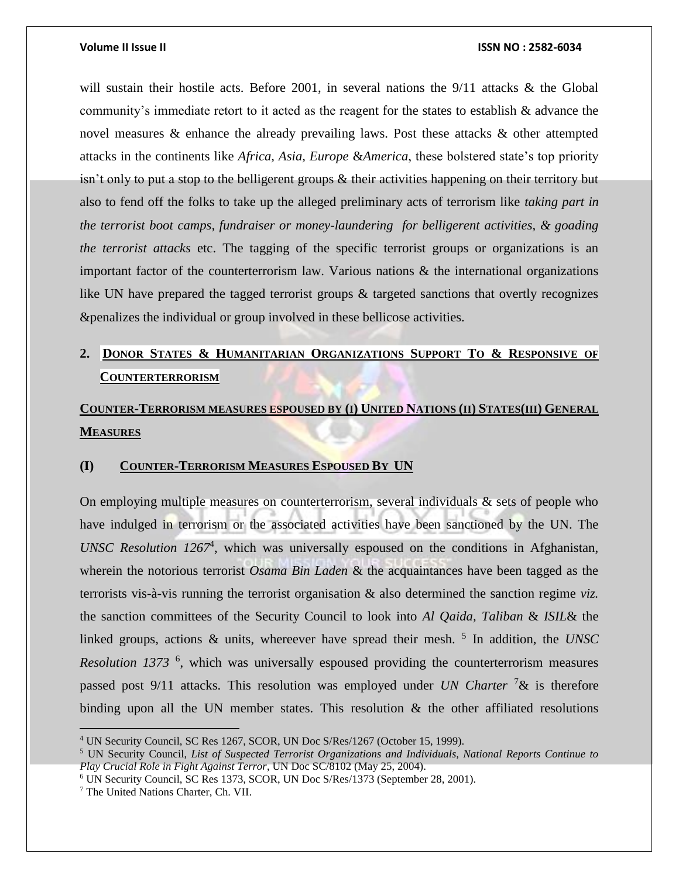will sustain their hostile acts. Before 2001, in several nations the 9/11 attacks & the Global community's immediate retort to it acted as the reagent for the states to establish & advance the novel measures & enhance the already prevailing laws. Post these attacks & other attempted attacks in the continents like *Africa, Asia, Europe* &*America*, these bolstered state's top priority isn't only to put a stop to the belligerent groups & their activities happening on their territory but also to fend off the folks to take up the alleged preliminary acts of terrorism like *taking part in the terrorist boot camps, fundraiser or money-laundering for belligerent activities, & goading the terrorist attacks* etc. The tagging of the specific terrorist groups or organizations is an important factor of the counterterrorism law. Various nations & the international organizations like UN have prepared the tagged terrorist groups & targeted sanctions that overtly recognizes &penalizes the individual or group involved in these bellicose activities.

# **2. DONOR STATES & HUMANITARIAN ORGANIZATIONS SUPPORT TO & RESPONSIVE OF COUNTERTERRORISM**

# COUNTER-TERRORISM MEASURES ESPOUSED BY (I) UNITED NATIONS (II) STATES(III) GENERAL **MEASURES**

# **(I) COUNTER-TERRORISM MEASURES ESPOUSED BY UN**

On employing multiple measures on counterterrorism, several individuals & sets of people who have indulged in terrorism or the associated activities have been sanctioned by the UN. The *UNSC Resolution 1267*<sup>4</sup> , which was universally espoused on the conditions in Afghanistan, wherein the notorious terrorist *Osama Bin Laden* & the acquaintances have been tagged as the terrorists vis-à-vis running the terrorist organisation & also determined the sanction regime *viz.*  the sanction committees of the Security Council to look into *Al Qaida, Taliban* & *ISIL*& the linked groups, actions & units, whereever have spread their mesh.<sup>5</sup> In addition, the *UNSC* Resolution 1373<sup>6</sup>, which was universally espoused providing the counterterrorism measures passed post 9/11 attacks. This resolution was employed under *UN Charter* <sup>7</sup>& is therefore binding upon all the UN member states. This resolution  $\&$  the other affiliated resolutions

<sup>4</sup> UN Security Council, SC Res 1267, SCOR, UN Doc S/Res/1267 (October 15, 1999).

<sup>5</sup> UN Security Council, *List of Suspected Terrorist Organizations and Individuals, National Reports Continue to Play Crucial Role in Fight Against Terror*, UN Doc SC/8102 (May 25, 2004).

<sup>6</sup> UN Security Council, SC Res 1373, SCOR, UN Doc S/Res/1373 (September 28, 2001).

<sup>7</sup> The United Nations Charter, Ch. VII.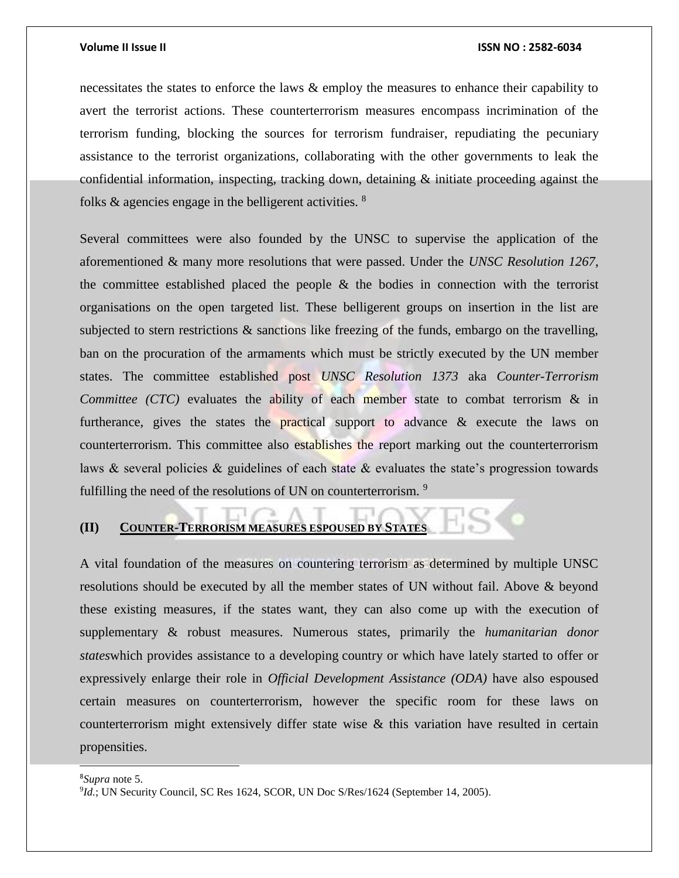necessitates the states to enforce the laws & employ the measures to enhance their capability to avert the terrorist actions. These counterterrorism measures encompass incrimination of the terrorism funding, blocking the sources for terrorism fundraiser, repudiating the pecuniary assistance to the terrorist organizations, collaborating with the other governments to leak the confidential information, inspecting, tracking down, detaining & initiate proceeding against the folks  $\&$  agencies engage in the belligerent activities.  $\frac{8}{3}$ 

Several committees were also founded by the UNSC to supervise the application of the aforementioned & many more resolutions that were passed. Under the *UNSC Resolution 1267*, the committee established placed the people & the bodies in connection with the terrorist organisations on the open targeted list. These belligerent groups on insertion in the list are subjected to stern restrictions & sanctions like freezing of the funds, embargo on the travelling, ban on the procuration of the armaments which must be strictly executed by the UN member states. The committee established post *UNSC Resolution 1373* aka *Counter-Terrorism Committee (CTC)* evaluates the ability of each member state to combat terrorism & in furtherance, gives the states the practical support to advance & execute the laws on counterterrorism. This committee also establishes the report marking out the counterterrorism laws & several policies & guidelines of each state & evaluates the state's progression towards fulfilling the need of the resolutions of UN on counterterrorism.<sup>9</sup>

# **(II) COUNTER-TERRORISM MEASURES ESPOUSED BY STATES**

A vital foundation of the measures on countering terrorism as determined by multiple UNSC resolutions should be executed by all the member states of UN without fail. Above & beyond these existing measures, if the states want, they can also come up with the execution of supplementary & robust measures. Numerous states, primarily the *humanitarian donor states*which provides assistance to a developing country or which have lately started to offer or expressively enlarge their role in *Official Development Assistance (ODA)* have also espoused certain measures on counterterrorism, however the specific room for these laws on counterterrorism might extensively differ state wise & this variation have resulted in certain propensities.

<sup>8</sup>*Supra* note 5.

 $\overline{a}$ 

<sup>&</sup>lt;sup>9</sup>Id.; UN Security Council, SC Res 1624, SCOR, UN Doc S/Res/1624 (September 14, 2005).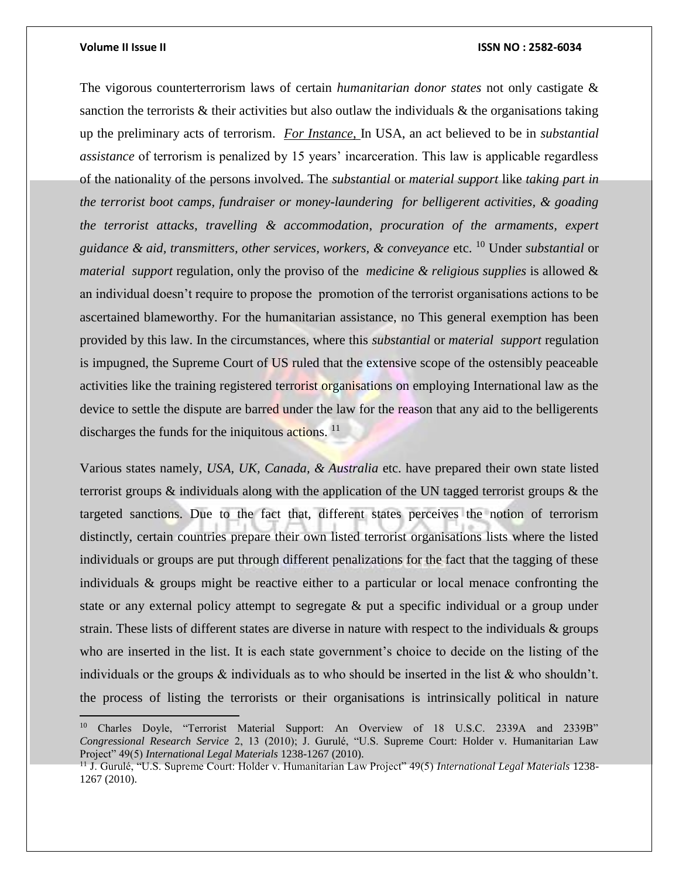$\overline{a}$ 

### **Volume II Issue II ISSN NO : 2582-6034**

The vigorous counterterrorism laws of certain *humanitarian donor states* not only castigate & sanction the terrorists  $\&$  their activities but also outlaw the individuals  $\&$  the organisations taking up the preliminary acts of terrorism. *For Instance*, In USA, an act believed to be in *substantial assistance* of terrorism is penalized by 15 years' incarceration. This law is applicable regardless of the nationality of the persons involved. The *substantial* or *material support* like *taking part in the terrorist boot camps, fundraiser or money-laundering for belligerent activities, & goading the terrorist attacks*, *travelling & accommodation*, *procuration of the armaments, expert guidance & aid, transmitters, other services, workers, & conveyance* etc. <sup>10</sup> Under *substantial* or *material support* regulation, only the proviso of the *medicine & religious supplies* is allowed & an individual doesn't require to propose the promotion of the terrorist organisations actions to be ascertained blameworthy. For the humanitarian assistance, no This general exemption has been provided by this law. In the circumstances, where this *substantial* or *material support* regulation is impugned, the Supreme Court of US ruled that the extensive scope of the ostensibly peaceable activities like the training registered terrorist organisations on employing International law as the device to settle the dispute are barred under the law for the reason that any aid to the belligerents discharges the funds for the iniquitous actions. <sup>11</sup>

Various states namely, *USA, UK, Canada, & Australia* etc. have prepared their own state listed terrorist groups  $\&$  individuals along with the application of the UN tagged terrorist groups  $\&$  the targeted sanctions. Due to the fact that, different states perceives the notion of terrorism distinctly, certain countries prepare their own listed terrorist organisations lists where the listed individuals or groups are put through different penalizations for the fact that the tagging of these individuals & groups might be reactive either to a particular or local menace confronting the state or any external policy attempt to segregate & put a specific individual or a group under strain. These lists of different states are diverse in nature with respect to the individuals & groups who are inserted in the list. It is each state government's choice to decide on the listing of the individuals or the groups & individuals as to who should be inserted in the list & who shouldn't. the process of listing the terrorists or their organisations is intrinsically political in nature

<sup>&</sup>lt;sup>10</sup> Charles Doyle, "Terrorist Material Support: An Overview of 18 U.S.C. 2339A and 2339B" *Congressional Research Service* 2, 13 (2010); J. Gurulé, "U.S. Supreme Court: Holder v. Humanitarian Law Project" 49(5) *International Legal Materials* 1238-1267 (2010).

<sup>11</sup> J. Gurulé, "U.S. Supreme Court: Holder v. Humanitarian Law Project" 49(5) *International Legal Materials* 1238- 1267 (2010).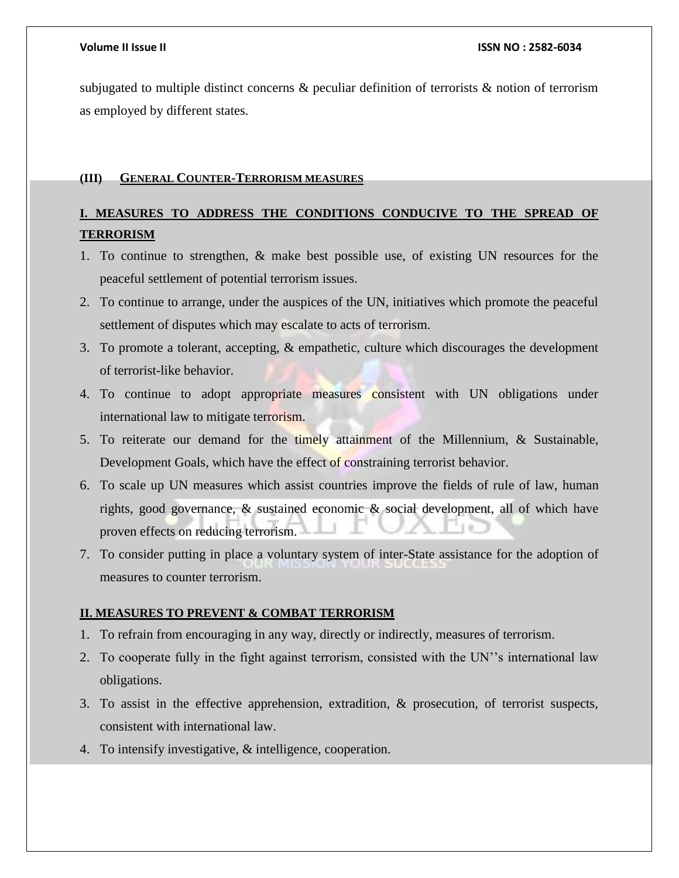subjugated to multiple distinct concerns  $\&$  peculiar definition of terrorists  $\&$  notion of terrorism as employed by different states.

# **(III) GENERAL COUNTER-TERRORISM MEASURES**

# **I. MEASURES TO ADDRESS THE CONDITIONS CONDUCIVE TO THE SPREAD OF TERRORISM**

- 1. To continue to strengthen, & make best possible use, of existing UN resources for the peaceful settlement of potential terrorism issues.
- 2. To continue to arrange, under the auspices of the UN, initiatives which promote the peaceful settlement of disputes which may escalate to acts of terrorism.
- 3. To promote a tolerant, accepting, & empathetic, culture which discourages the development of terrorist-like behavior.
- 4. To continue to adopt appropriate measures consistent with UN obligations under international law to mitigate terrorism.
- 5. To reiterate our demand for the timely attainment of the Millennium, & Sustainable, Development Goals, which have the effect of constraining terrorist behavior.
- 6. To scale up UN measures which assist countries improve the fields of rule of law, human rights, good governance, & sustained economic & social development, all of which have proven effects on reducing terrorism.
- 7. To consider putting in place a voluntary system of inter-State assistance for the adoption of measures to counter terrorism.

# **II. MEASURES TO PREVENT & COMBAT TERRORISM**

- 1. To refrain from encouraging in any way, directly or indirectly, measures of terrorism.
- 2. To cooperate fully in the fight against terrorism, consisted with the UN''s international law obligations.
- 3. To assist in the effective apprehension, extradition, & prosecution, of terrorist suspects, consistent with international law.
- 4. To intensify investigative, & intelligence, cooperation.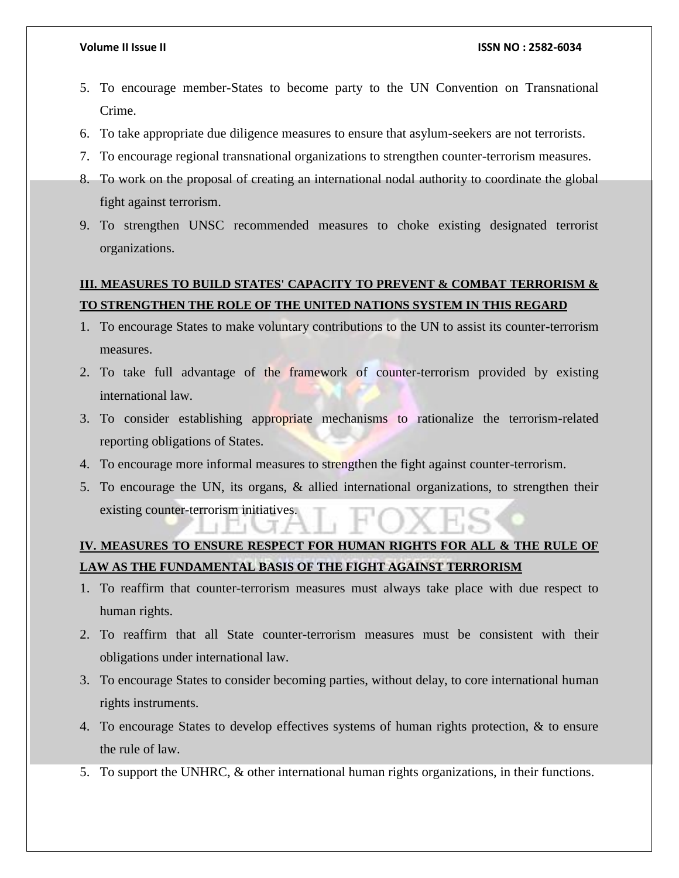- 5. To encourage member-States to become party to the UN Convention on Transnational Crime.
- 6. To take appropriate due diligence measures to ensure that asylum-seekers are not terrorists.
- 7. To encourage regional transnational organizations to strengthen counter-terrorism measures.
- 8. To work on the proposal of creating an international nodal authority to coordinate the global fight against terrorism.
- 9. To strengthen UNSC recommended measures to choke existing designated terrorist organizations.

# **III. MEASURES TO BUILD STATES' CAPACITY TO PREVENT & COMBAT TERRORISM & TO STRENGTHEN THE ROLE OF THE UNITED NATIONS SYSTEM IN THIS REGARD**

- 1. To encourage States to make voluntary contributions to the UN to assist its counter-terrorism measures.
- 2. To take full advantage of the framework of counter-terrorism provided by existing international law.
- 3. To consider establishing appropriate mechanisms to rationalize the terrorism-related reporting obligations of States.
- 4. To encourage more informal measures to strengthen the fight against counter-terrorism.
- 5. To encourage the UN, its organs, & allied international organizations, to strengthen their existing counter-terrorism initiatives.

# **IV. MEASURES TO ENSURE RESPECT FOR HUMAN RIGHTS FOR ALL & THE RULE OF LAW AS THE FUNDAMENTAL BASIS OF THE FIGHT AGAINST TERRORISM**

- 1. To reaffirm that counter-terrorism measures must always take place with due respect to human rights.
- 2. To reaffirm that all State counter-terrorism measures must be consistent with their obligations under international law.
- 3. To encourage States to consider becoming parties, without delay, to core international human rights instruments.
- 4. To encourage States to develop effectives systems of human rights protection, & to ensure the rule of law.
- 5. To support the UNHRC, & other international human rights organizations, in their functions.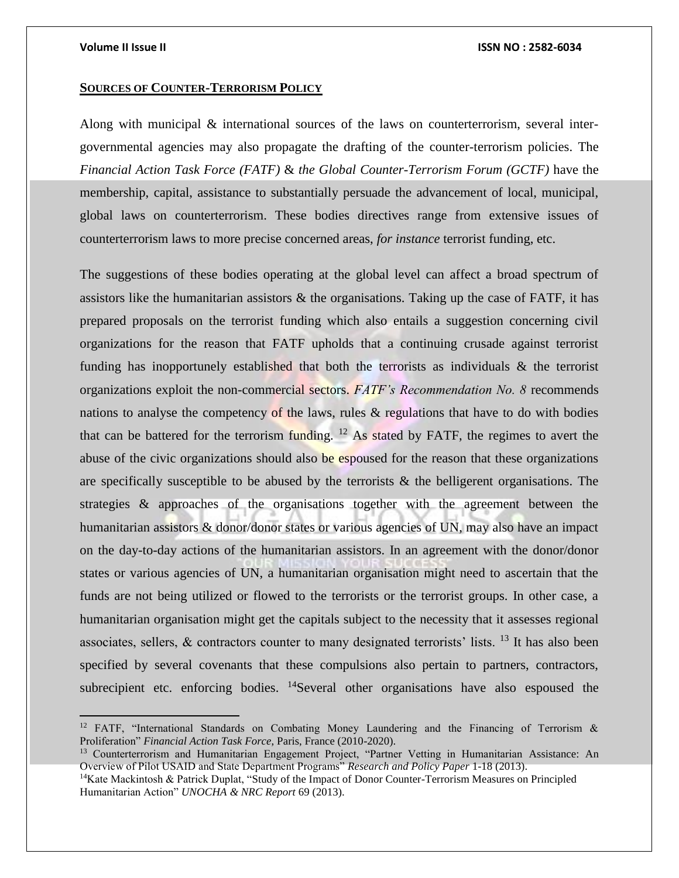$\overline{a}$ 

### **Volume II Issue II ISSN NO : 2582-6034**

## **SOURCES OF COUNTER-TERRORISM POLICY**

Along with municipal & international sources of the laws on counterterrorism, several intergovernmental agencies may also propagate the drafting of the counter-terrorism policies. The *Financial Action Task Force (FATF)* & *the Global Counter-Terrorism Forum (GCTF)* have the membership, capital, assistance to substantially persuade the advancement of local, municipal, global laws on counterterrorism. These bodies directives range from extensive issues of counterterrorism laws to more precise concerned areas, *for instance* terrorist funding, etc.

The suggestions of these bodies operating at the global level can affect a broad spectrum of assistors like the humanitarian assistors  $\&$  the organisations. Taking up the case of FATF, it has prepared proposals on the terrorist funding which also entails a suggestion concerning civil organizations for the reason that FATF upholds that a continuing crusade against terrorist funding has inopportunely established that both the terrorists as individuals & the terrorist organizations exploit the non-commercial sectors. *FATF's Recommendation No. 8* recommends nations to analyse the competency of the laws, rules  $\&$  regulations that have to do with bodies that can be battered for the terrorism funding.  $12$  As stated by FATF, the regimes to avert the abuse of the civic organizations should also be espoused for the reason that these organizations are specifically susceptible to be abused by the terrorists  $\&$  the belligerent organisations. The strategies & approaches of the organisations together with the agreement between the humanitarian assistors & donor/donor states or various agencies of UN, may also have an impact on the day-to-day actions of the humanitarian assistors. In an agreement with the donor/donor states or various agencies of UN, a humanitarian organisation might need to ascertain that the funds are not being utilized or flowed to the terrorists or the terrorist groups. In other case, a humanitarian organisation might get the capitals subject to the necessity that it assesses regional associates, sellers,  $\&$  contractors counter to many designated terrorists' lists. <sup>13</sup> It has also been specified by several covenants that these compulsions also pertain to partners, contractors, subrecipient etc. enforcing bodies.  $^{14}$ Several other organisations have also espoused the

<sup>&</sup>lt;sup>12</sup> FATF, "International Standards on Combating Money Laundering and the Financing of Terrorism  $\&$ Proliferation" *Financial Action Task Force*, Paris, France (2010-2020).

<sup>13</sup> Counterterrorism and Humanitarian Engagement Project, "Partner Vetting in Humanitarian Assistance: An Overview of Pilot USAID and State Department Programs" *Research and Policy Paper* 1-18 (2013).

<sup>&</sup>lt;sup>14</sup>Kate Mackintosh & Patrick Duplat, "Study of the Impact of Donor Counter-Terrorism Measures on Principled Humanitarian Action" *UNOCHA & NRC Report* 69 (2013).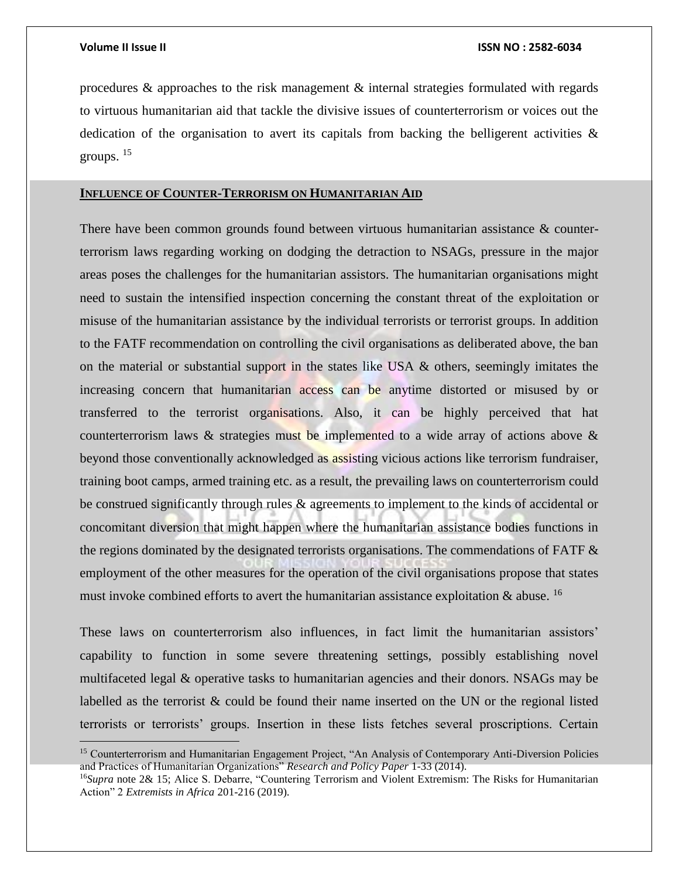procedures & approaches to the risk management & internal strategies formulated with regards to virtuous humanitarian aid that tackle the divisive issues of counterterrorism or voices out the dedication of the organisation to avert its capitals from backing the belligerent activities  $\&$ groups. <sup>15</sup>

### **INFLUENCE OF COUNTER-TERRORISM ON HUMANITARIAN AID**

There have been common grounds found between virtuous humanitarian assistance & counterterrorism laws regarding working on dodging the detraction to NSAGs, pressure in the major areas poses the challenges for the humanitarian assistors. The humanitarian organisations might need to sustain the intensified inspection concerning the constant threat of the exploitation or misuse of the humanitarian assistance by the individual terrorists or terrorist groups. In addition to the FATF recommendation on controlling the civil organisations as deliberated above, the ban on the material or substantial support in the states like USA  $\&$  others, seemingly imitates the increasing concern that humanitarian access can be anytime distorted or misused by or transferred to the terrorist organisations. Also, it can be highly perceived that hat counterterrorism laws  $\&$  strategies must be implemented to a wide array of actions above  $\&$ beyond those conventionally acknowledged as assisting vicious actions like terrorism fundraiser, training boot camps, armed training etc. as a result, the prevailing laws on counterterrorism could be construed significantly through rules & agreements to implement to the kinds of accidental or concomitant diversion that might happen where the humanitarian assistance bodies functions in the regions dominated by the designated terrorists organisations. The commendations of FATF & employment of the other measures for the operation of the civil organisations propose that states must invoke combined efforts to avert the humanitarian assistance exploitation  $\&$  abuse. <sup>16</sup>

These laws on counterterrorism also influences, in fact limit the humanitarian assistors' capability to function in some severe threatening settings, possibly establishing novel multifaceted legal & operative tasks to humanitarian agencies and their donors. NSAGs may be labelled as the terrorist & could be found their name inserted on the UN or the regional listed terrorists or terrorists' groups. Insertion in these lists fetches several proscriptions. Certain

<sup>15</sup> Counterterrorism and Humanitarian Engagement Project, "An Analysis of Contemporary Anti-Diversion Policies and Practices of Humanitarian Organizations" *Research and Policy Paper* 1-33 (2014).

<sup>16</sup>*Supra* note 2& 15; Alice S. Debarre, "Countering Terrorism and Violent Extremism: The Risks for Humanitarian Action" 2 *Extremists in Africa* 201-216 (2019).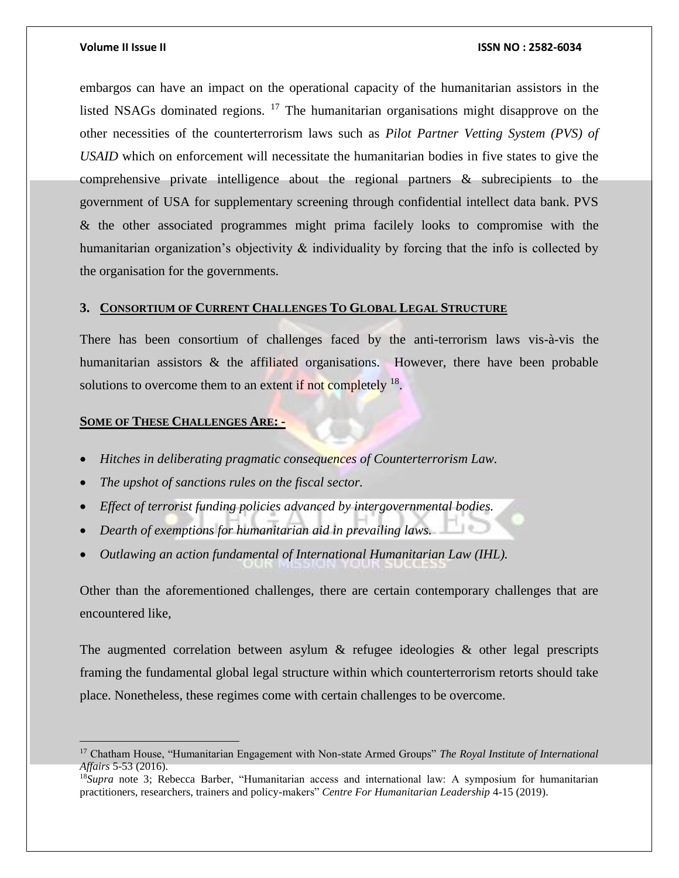embargos can have an impact on the operational capacity of the humanitarian assistors in the listed NSAGs dominated regions. <sup>17</sup> The humanitarian organisations might disapprove on the other necessities of the counterterrorism laws such as *Pilot Partner Vetting System (PVS) of USAID* which on enforcement will necessitate the humanitarian bodies in five states to give the comprehensive private intelligence about the regional partners & subrecipients to the government of USA for supplementary screening through confidential intellect data bank. PVS & the other associated programmes might prima facilely looks to compromise with the humanitarian organization's objectivity & individuality by forcing that the info is collected by the organisation for the governments.

## **3. CONSORTIUM OF CURRENT CHALLENGES TO GLOBAL LEGAL STRUCTURE**

There has been consortium of challenges faced by the anti-terrorism laws vis-à-vis the humanitarian assistors & the affiliated organisations. However, there have been probable solutions to overcome them to an extent if not completely  $18$ .

## **SOME OF THESE CHALLENGES ARE: -**

- *Hitches in deliberating pragmatic consequences of Counterterrorism Law.*
- *The upshot of sanctions rules on the fiscal sector.*
- *Effect of terrorist funding policies advanced by intergovernmental bodies.*
- *Dearth of exemptions for humanitarian aid in prevailing laws.*
- *Outlawing an action fundamental of International Humanitarian Law (IHL).*

Other than the aforementioned challenges, there are certain contemporary challenges that are encountered like,

The augmented correlation between asylum & refugee ideologies & other legal prescripts framing the fundamental global legal structure within which counterterrorism retorts should take place. Nonetheless, these regimes come with certain challenges to be overcome.

<sup>17</sup> Chatham House, "Humanitarian Engagement with Non-state Armed Groups" *The Royal Institute of International Affairs* 5-53 (2016).

<sup>18</sup>*Supra* note 3; Rebecca Barber, "Humanitarian access and international law: A symposium for humanitarian practitioners, researchers, trainers and policy-makers" *Centre For Humanitarian Leadership* 4-15 (2019).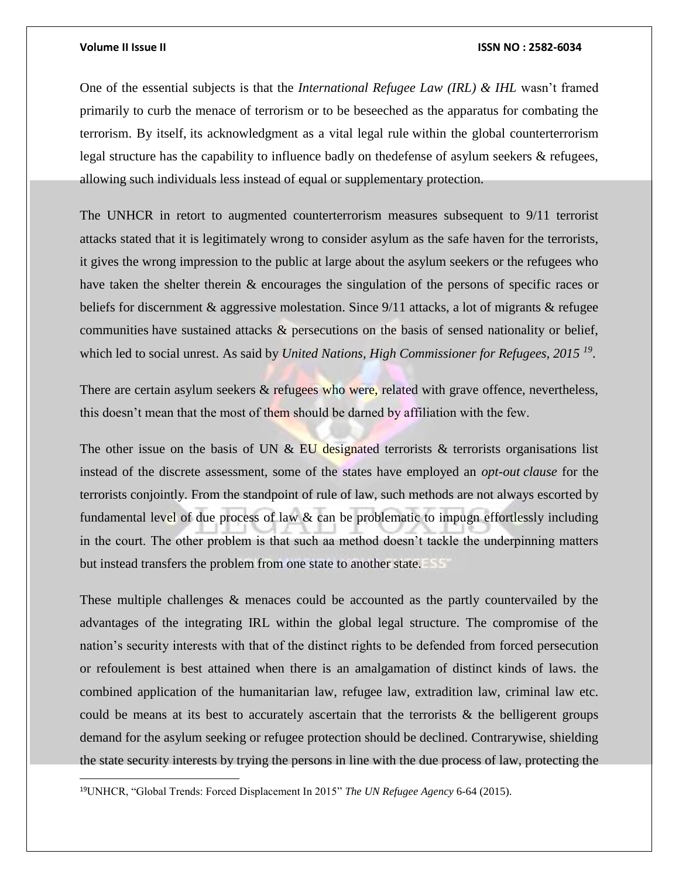$\overline{\phantom{a}}$ 

One of the essential subjects is that the *International Refugee Law (IRL) & IHL* wasn't framed primarily to curb the menace of terrorism or to be beseeched as the apparatus for combating the terrorism. By itself, its acknowledgment as a vital legal rule within the global counterterrorism legal structure has the capability to influence badly on thedefense of asylum seekers & refugees, allowing such individuals less instead of equal or supplementary protection.

The UNHCR in retort to augmented counterterrorism measures subsequent to 9/11 terrorist attacks stated that it is legitimately wrong to consider asylum as the safe haven for the terrorists, it gives the wrong impression to the public at large about the asylum seekers or the refugees who have taken the shelter therein & encourages the singulation of the persons of specific races or beliefs for discernment & aggressive molestation. Since 9/11 attacks, a lot of migrants & refugee communities have sustained attacks & persecutions on the basis of sensed nationality or belief, which led to social unrest. As said by *United Nations, High Commissioner for Refugees, 2015 <sup>19</sup>* .

There are certain asylum seekers  $\&$  refugees who were, related with grave offence, nevertheless, this doesn't mean that the most of them should be darned by affiliation with the few.

The other issue on the basis of UN  $& EU$  designated terrorists  $&$  terrorists organisations list instead of the discrete assessment, some of the states have employed an *opt-out clause* for the terrorists conjointly. From the standpoint of rule of law, such methods are not always escorted by fundamental level of due process of law & can be problematic to impugn effortlessly including in the court. The other problem is that such aa method doesn't tackle the underpinning matters but instead transfers the problem from one state to another state.

These multiple challenges & menaces could be accounted as the partly countervailed by the advantages of the integrating IRL within the global legal structure. The compromise of the nation's security interests with that of the distinct rights to be defended from forced persecution or refoulement is best attained when there is an amalgamation of distinct kinds of laws. the combined application of the humanitarian law, refugee law, extradition law, criminal law etc. could be means at its best to accurately ascertain that the terrorists  $\&$  the belligerent groups demand for the asylum seeking or refugee protection should be declined. Contrarywise, shielding the state security interests by trying the persons in line with the due process of law, protecting the

<sup>19</sup>UNHCR, "Global Trends: Forced Displacement In 2015" *The UN Refugee Agency* 6-64 (2015).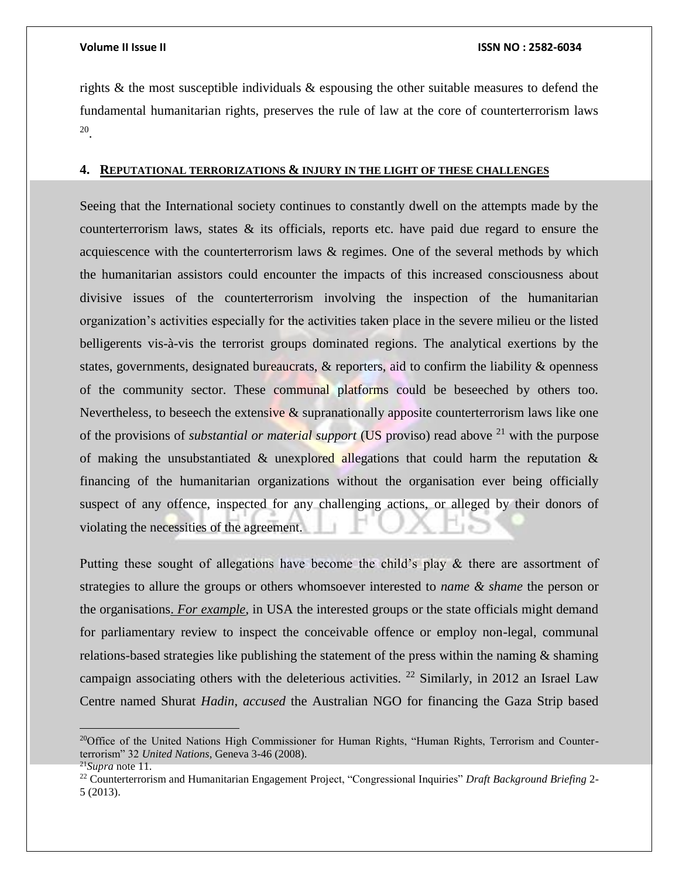rights & the most susceptible individuals & espousing the other suitable measures to defend the fundamental humanitarian rights, preserves the rule of law at the core of counterterrorism laws 20 .

## **4. REPUTATIONAL TERRORIZATIONS & INJURY IN THE LIGHT OF THESE CHALLENGES**

Seeing that the International society continues to constantly dwell on the attempts made by the counterterrorism laws, states & its officials, reports etc. have paid due regard to ensure the acquiescence with the counterterrorism laws & regimes. One of the several methods by which the humanitarian assistors could encounter the impacts of this increased consciousness about divisive issues of the counterterrorism involving the inspection of the humanitarian organization's activities especially for the activities taken place in the severe milieu or the listed belligerents vis-à-vis the terrorist groups dominated regions. The analytical exertions by the states, governments, designated bureaucrats,  $\&$  reporters, aid to confirm the liability  $\&$  openness of the community sector. These communal platforms could be beseeched by others too. Nevertheless, to beseech the extensive  $\&$  supranationally apposite counterterrorism laws like one of the provisions of *substantial or material support* (US proviso) read above <sup>21</sup> with the purpose of making the unsubstantiated  $\&$  unexplored allegations that could harm the reputation  $\&$ financing of the humanitarian organizations without the organisation ever being officially suspect of any offence, inspected for any challenging actions, or alleged by their donors of violating the necessities of the agreement.

Putting these sought of allegations have become the child's play & there are assortment of strategies to allure the groups or others whomsoever interested to *name & shame* the person or the organisations. *For example*, in USA the interested groups or the state officials might demand for parliamentary review to inspect the conceivable offence or employ non-legal, communal relations-based strategies like publishing the statement of the press within the naming  $\&$  shaming campaign associating others with the deleterious activities. <sup>22</sup> Similarly, in 2012 an Israel Law Centre named Shurat *Hadin*, *accused* the Australian NGO for financing the Gaza Strip based

<sup>&</sup>lt;sup>20</sup>Office of the United Nations High Commissioner for Human Rights, "Human Rights, Terrorism and Counterterrorism" 32 *United Nations*, Geneva 3-46 (2008).

<sup>21</sup>*Supra* note 11.

<sup>22</sup> Counterterrorism and Humanitarian Engagement Project, "Congressional Inquiries" *Draft Background Briefing* 2- 5 (2013).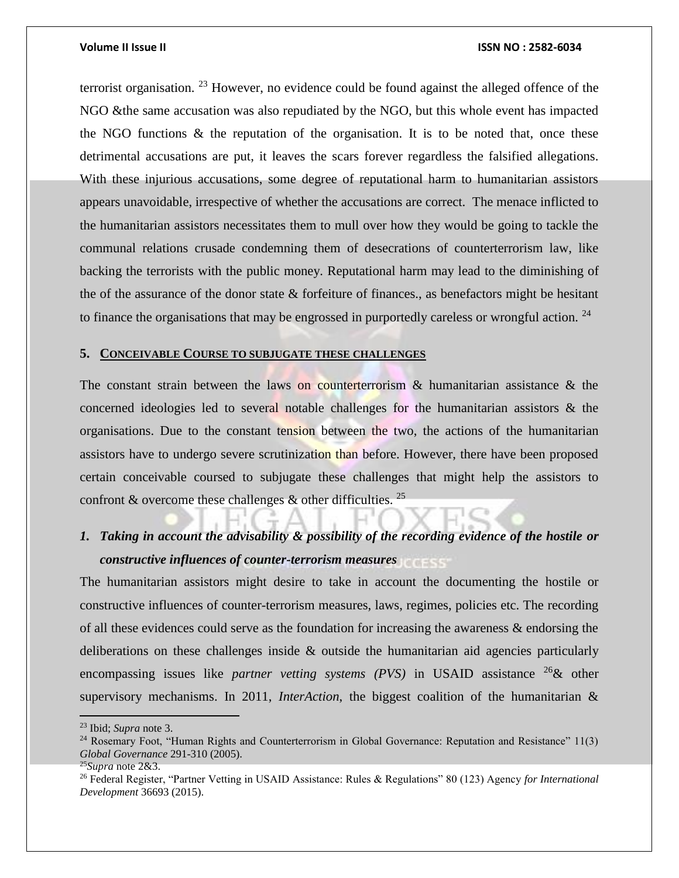terrorist organisation.  $^{23}$  However, no evidence could be found against the alleged offence of the NGO &the same accusation was also repudiated by the NGO, but this whole event has impacted the NGO functions & the reputation of the organisation. It is to be noted that, once these detrimental accusations are put, it leaves the scars forever regardless the falsified allegations. With these injurious accusations, some degree of reputational harm to humanitarian assistors appears unavoidable, irrespective of whether the accusations are correct. The menace inflicted to the humanitarian assistors necessitates them to mull over how they would be going to tackle the communal relations crusade condemning them of desecrations of counterterrorism law, like backing the terrorists with the public money. Reputational harm may lead to the diminishing of the of the assurance of the donor state  $\&$  forfeiture of finances., as benefactors might be hesitant to finance the organisations that may be engrossed in purportedly careless or wrongful action.  $24$ 

## **5. CONCEIVABLE COURSE TO SUBJUGATE THESE CHALLENGES**

The constant strain between the laws on counterterrorism & humanitarian assistance & the concerned ideologies led to several notable challenges for the humanitarian assistors & the organisations. Due to the constant tension between the two, the actions of the humanitarian assistors have to undergo severe scrutinization than before. However, there have been proposed certain conceivable coursed to subjugate these challenges that might help the assistors to confront & overcome these challenges  $\&$  other difficulties.<sup>25</sup>

# *1. Taking in account the advisability & possibility of the recording evidence of the hostile or constructive influences of counter-terrorism measures*

The humanitarian assistors might desire to take in account the documenting the hostile or constructive influences of counter-terrorism measures, laws, regimes, policies etc. The recording of all these evidences could serve as the foundation for increasing the awareness & endorsing the deliberations on these challenges inside & outside the humanitarian aid agencies particularly encompassing issues like *partner vetting systems (PVS)* in USAID assistance <sup>26</sup>& other supervisory mechanisms. In 2011, *InterAction*, the biggest coalition of the humanitarian &

 $\overline{a}$ 

<sup>23</sup> Ibid; *Supra* note 3.

<sup>24</sup> Rosemary Foot, "Human Rights and Counterterrorism in Global Governance: Reputation and Resistance" 11(3) *Global Governance* 291-310 (2005).

<sup>25</sup>*Supra* note 2&3.

<sup>26</sup> Federal Register, "Partner Vetting in USAID Assistance: Rules & Regulations" 80 (123) Agency *for International Development* 36693 (2015).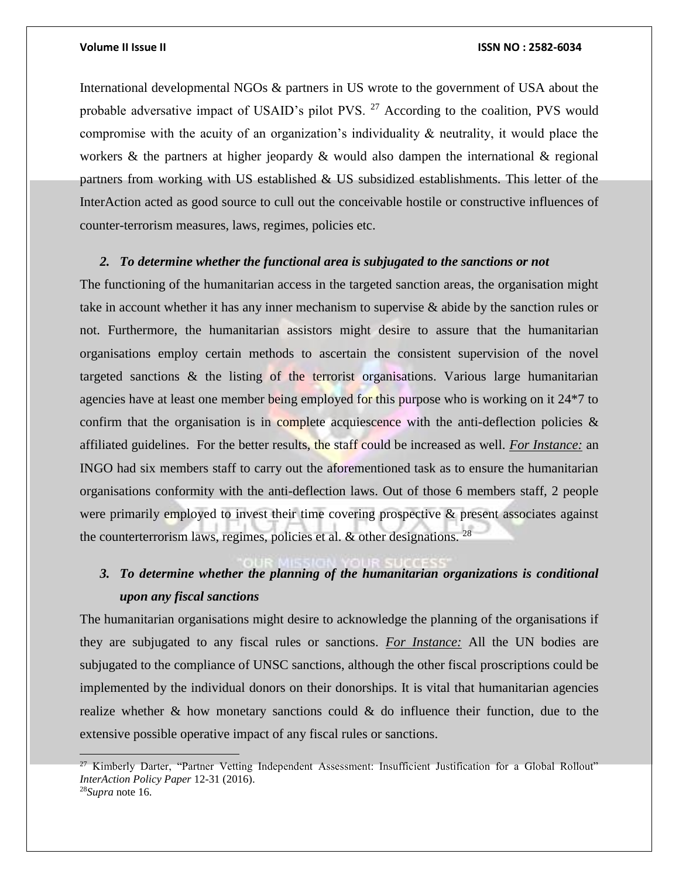International developmental NGOs & partners in US wrote to the government of USA about the probable adversative impact of USAID's pilot PVS. <sup>27</sup> According to the coalition, PVS would compromise with the acuity of an organization's individuality & neutrality, it would place the workers & the partners at higher jeopardy & would also dampen the international  $\&$  regional partners from working with US established & US subsidized establishments. This letter of the InterAction acted as good source to cull out the conceivable hostile or constructive influences of counter-terrorism measures, laws, regimes, policies etc.

## *2. To determine whether the functional area is subjugated to the sanctions or not*

The functioning of the humanitarian access in the targeted sanction areas, the organisation might take in account whether it has any inner mechanism to supervise & abide by the sanction rules or not. Furthermore, the humanitarian assistors might desire to assure that the humanitarian organisations employ certain methods to ascertain the consistent supervision of the novel targeted sanctions & the listing of the terrorist organisations. Various large humanitarian agencies have at least one member being employed for this purpose who is working on it 24\*7 to confirm that the organisation is in complete acquiescence with the anti-deflection policies  $\&$ affiliated guidelines. For the better results, the staff could be increased as well. *For Instance:* an INGO had six members staff to carry out the aforementioned task as to ensure the humanitarian organisations conformity with the anti-deflection laws. Out of those 6 members staff, 2 people were primarily employed to invest their time covering prospective & present associates against the counterterrorism laws, regimes, policies et al.  $\&$  other designations. <sup>28</sup>

# *3. To determine whether the planning of the humanitarian organizations is conditional upon any fiscal sanctions*

The humanitarian organisations might desire to acknowledge the planning of the organisations if they are subjugated to any fiscal rules or sanctions. *For Instance:* All the UN bodies are subjugated to the compliance of UNSC sanctions, although the other fiscal proscriptions could be implemented by the individual donors on their donorships. It is vital that humanitarian agencies realize whether  $\&$  how monetary sanctions could  $\&$  do influence their function, due to the extensive possible operative impact of any fiscal rules or sanctions.

 $\overline{a}$ 

<sup>&</sup>lt;sup>27</sup> Kimberly Darter, "Partner Vetting Independent Assessment: Insufficient Justification for a Global Rollout" *InterAction Policy Paper* 12-31 (2016).

<sup>28</sup>*Supra* note 16.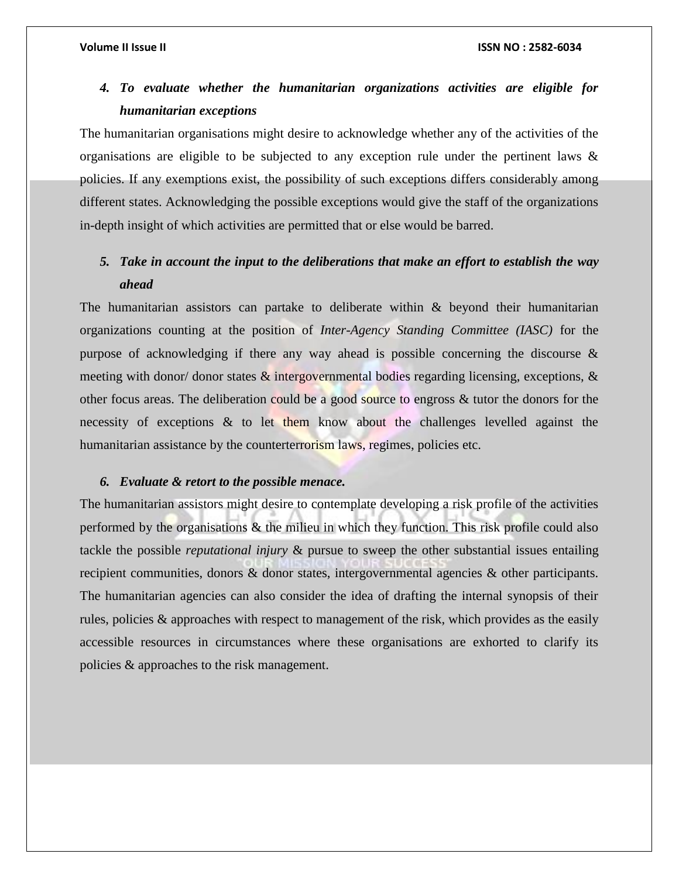# *4. To evaluate whether the humanitarian organizations activities are eligible for humanitarian exceptions*

The humanitarian organisations might desire to acknowledge whether any of the activities of the organisations are eligible to be subjected to any exception rule under the pertinent laws  $\&$ policies. If any exemptions exist, the possibility of such exceptions differs considerably among different states. Acknowledging the possible exceptions would give the staff of the organizations in-depth insight of which activities are permitted that or else would be barred.

# *5. Take in account the input to the deliberations that make an effort to establish the way ahead*

The humanitarian assistors can partake to deliberate within  $\&$  beyond their humanitarian organizations counting at the position of *Inter-Agency Standing Committee (IASC)* for the purpose of acknowledging if there any way ahead is possible concerning the discourse & meeting with donor/ donor states  $\&$  intergovernmental bodies regarding licensing, exceptions,  $\&$ other focus areas. The deliberation could be a good source to engross & tutor the donors for the necessity of exceptions & to let them know about the challenges levelled against the humanitarian assistance by the counterterrorism laws, regimes, policies etc.

## *6. Evaluate & retort to the possible menace.*

The humanitarian assistors might desire to contemplate developing a risk profile of the activities performed by the organisations & the milieu in which they function. This risk profile could also tackle the possible *reputational injury* & pursue to sweep the other substantial issues entailing recipient communities, donors & donor states, intergovernmental agencies & other participants. The humanitarian agencies can also consider the idea of drafting the internal synopsis of their rules, policies & approaches with respect to management of the risk, which provides as the easily accessible resources in circumstances where these organisations are exhorted to clarify its policies & approaches to the risk management.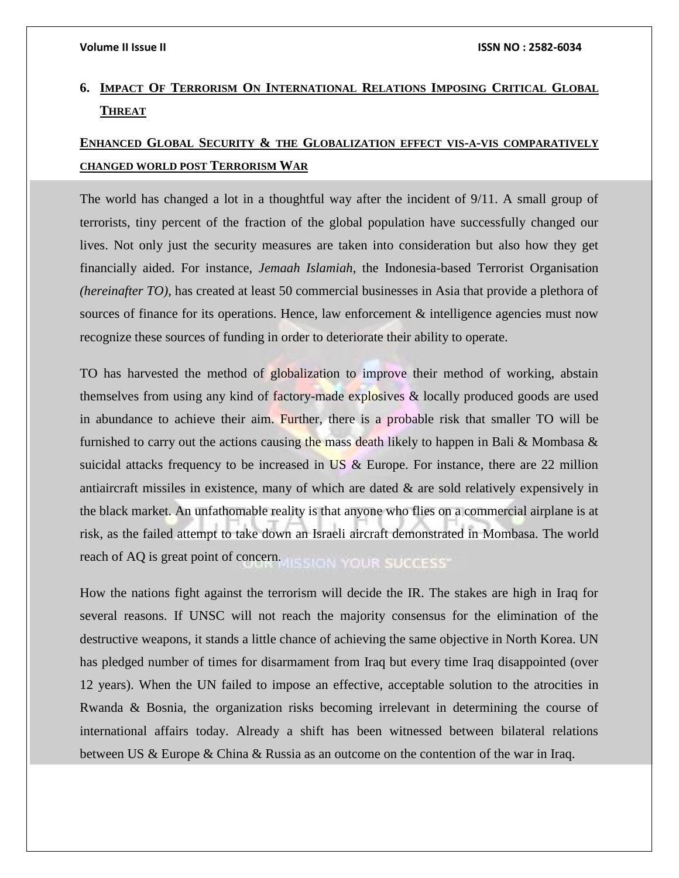# **6. IMPACT OF TERRORISM ON INTERNATIONAL RELATIONS IMPOSING CRITICAL GLOBAL THREAT**

# **ENHANCED GLOBAL SECURITY & THE GLOBALIZATION EFFECT VIS-A-VIS COMPARATIVELY CHANGED WORLD POST TERRORISM WAR**

The world has changed a lot in a thoughtful way after the incident of 9/11. A small group of terrorists, tiny percent of the fraction of the global population have successfully changed our lives. Not only just the security measures are taken into consideration but also how they get financially aided. For instance, *Jemaah Islamiah*, the Indonesia-based Terrorist Organisation *(hereinafter TO)*, has created at least 50 commercial businesses in Asia that provide a plethora of sources of finance for its operations. Hence, law enforcement & intelligence agencies must now recognize these sources of funding in order to deteriorate their ability to operate.

TO has harvested the method of globalization to improve their method of working, abstain themselves from using any kind of factory-made explosives & locally produced goods are used in abundance to achieve their aim. Further, there is a probable risk that smaller TO will be furnished to carry out the actions causing the mass death likely to happen in Bali & Mombasa  $\&$ suicidal attacks frequency to be increased in US & Europe. For instance, there are 22 million antiaircraft missiles in existence, many of which are dated  $\&$  are sold relatively expensively in the black market. An unfathomable reality is that anyone who flies on a commercial airplane is at risk, as the failed attempt to take down an Israeli aircraft demonstrated in Mombasa. The world reach of AQ is great point of concern. **IISSION YOUR SUCCESS®** 

How the nations fight against the terrorism will decide the IR. The stakes are high in Iraq for several reasons. If UNSC will not reach the majority consensus for the elimination of the destructive weapons, it stands a little chance of achieving the same objective in North Korea. UN has pledged number of times for disarmament from Iraq but every time Iraq disappointed (over 12 years). When the UN failed to impose an effective, acceptable solution to the atrocities in Rwanda & Bosnia, the organization risks becoming irrelevant in determining the course of international affairs today. Already a shift has been witnessed between bilateral relations between US & Europe & China & Russia as an outcome on the contention of the war in Iraq.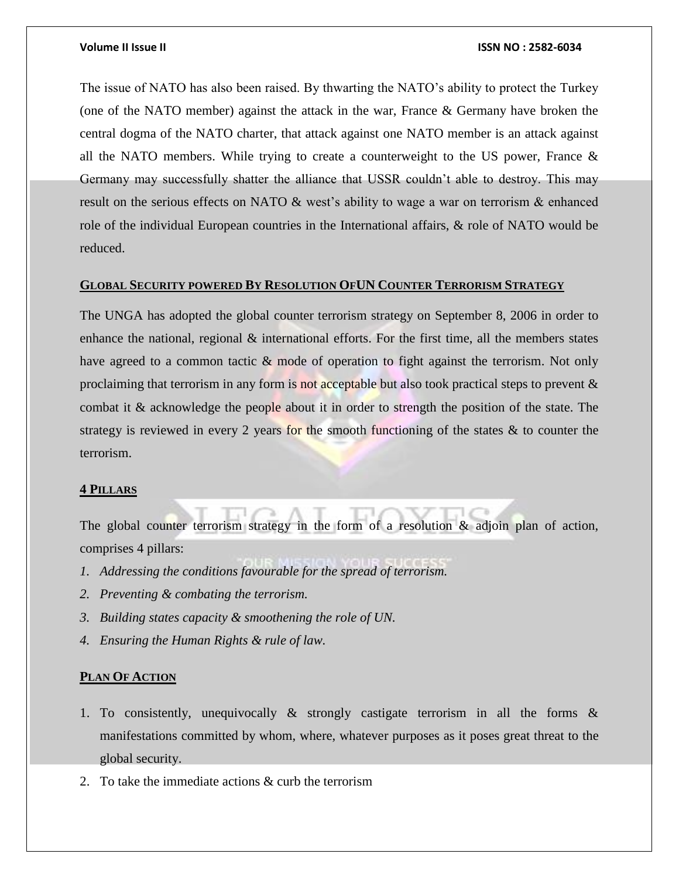The issue of NATO has also been raised. By thwarting the NATO's ability to protect the Turkey (one of the NATO member) against the attack in the war, France & Germany have broken the central dogma of the NATO charter, that attack against one NATO member is an attack against all the NATO members. While trying to create a counterweight to the US power, France & Germany may successfully shatter the alliance that USSR couldn't able to destroy. This may result on the serious effects on NATO & west's ability to wage a war on terrorism & enhanced role of the individual European countries in the International affairs, & role of NATO would be reduced.

## **GLOBAL SECURITY POWERED BY RESOLUTION OFUN COUNTER TERRORISM STRATEGY**

The UNGA has adopted the global counter terrorism strategy on September 8, 2006 in order to enhance the national, regional  $\&$  international efforts. For the first time, all the members states have agreed to a common tactic  $\&$  mode of operation to fight against the terrorism. Not only proclaiming that terrorism in any form is not acceptable but also took practical steps to prevent & combat it & acknowledge the people about it in order to strength the position of the state. The strategy is reviewed in every 2 years for the smooth functioning of the states & to counter the terrorism.

### **4 PILLARS**

The global counter terrorism strategy in the form of a resolution & adjoin plan of action, comprises 4 pillars:

- *1. Addressing the conditions favourable for the spread of terrorism.*
- *2. Preventing & combating the terrorism.*
- *3. Building states capacity & smoothening the role of UN.*
- *4. Ensuring the Human Rights & rule of law.*

# **PLAN OF ACTION**

- 1. To consistently, unequivocally & strongly castigate terrorism in all the forms & manifestations committed by whom, where, whatever purposes as it poses great threat to the global security.
- 2. To take the immediate actions & curb the terrorism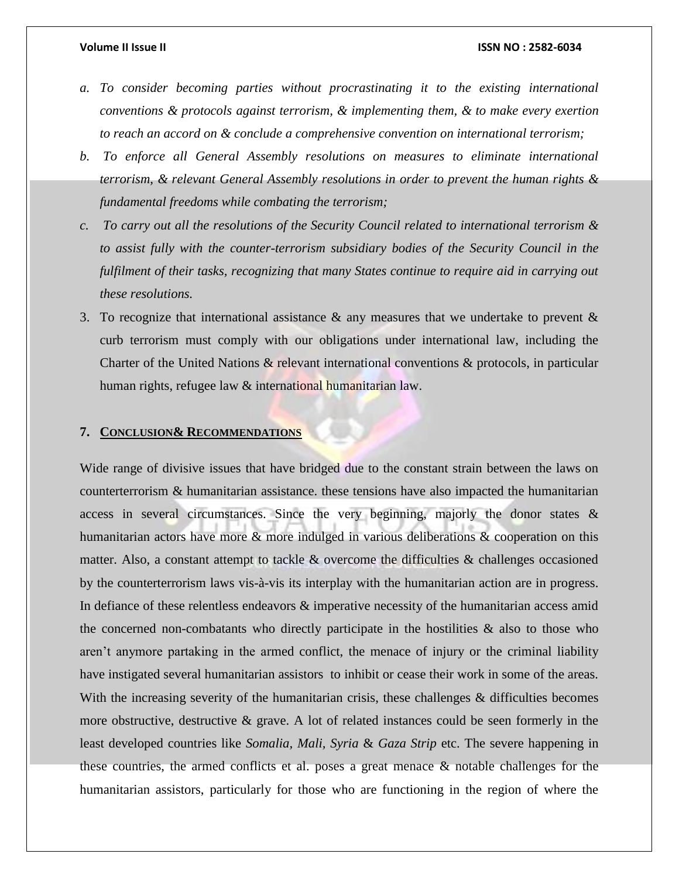- *a. To consider becoming parties without procrastinating it to the existing international conventions & protocols against terrorism, & implementing them, & to make every exertion to reach an accord on & conclude a comprehensive convention on international terrorism;*
- *b. To enforce all General Assembly resolutions on measures to eliminate international terrorism, & relevant General Assembly resolutions in order to prevent the human rights & fundamental freedoms while combating the terrorism;*
- *c. To carry out all the resolutions of the Security Council related to international terrorism & to assist fully with the counter-terrorism subsidiary bodies of the Security Council in the fulfilment of their tasks, recognizing that many States continue to require aid in carrying out these resolutions.*
- 3. To recognize that international assistance  $\&$  any measures that we undertake to prevent  $\&$ curb terrorism must comply with our obligations under international law, including the Charter of the United Nations & relevant international conventions & protocols, in particular human rights, refugee law & international humanitarian law.

## **7. CONCLUSION& RECOMMENDATIONS**

Wide range of divisive issues that have bridged due to the constant strain between the laws on counterterrorism & humanitarian assistance. these tensions have also impacted the humanitarian access in several circumstances. Since the very beginning, majorly the donor states & humanitarian actors have more & more indulged in various deliberations & cooperation on this matter. Also, a constant attempt to tackle & overcome the difficulties & challenges occasioned by the counterterrorism laws vis-à-vis its interplay with the humanitarian action are in progress. In defiance of these relentless endeavors & imperative necessity of the humanitarian access amid the concerned non-combatants who directly participate in the hostilities  $\&$  also to those who aren't anymore partaking in the armed conflict, the menace of injury or the criminal liability have instigated several humanitarian assistors to inhibit or cease their work in some of the areas. With the increasing severity of the humanitarian crisis, these challenges & difficulties becomes more obstructive, destructive  $\&$  grave. A lot of related instances could be seen formerly in the least developed countries like *Somalia, Mali, Syria* & *Gaza Strip* etc. The severe happening in these countries, the armed conflicts et al. poses a great menace  $\&$  notable challenges for the humanitarian assistors, particularly for those who are functioning in the region of where the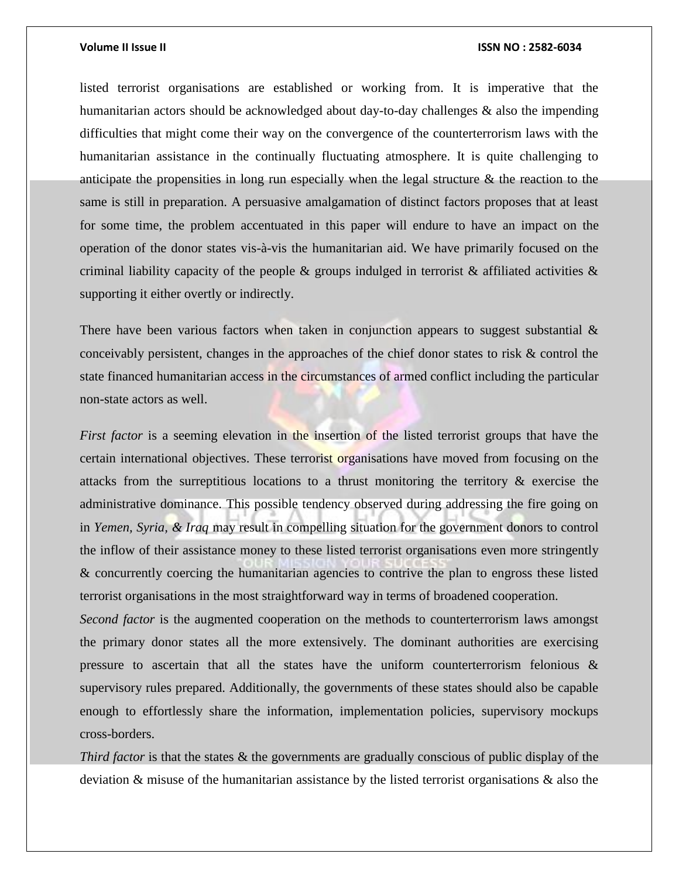listed terrorist organisations are established or working from. It is imperative that the humanitarian actors should be acknowledged about day-to-day challenges & also the impending difficulties that might come their way on the convergence of the counterterrorism laws with the humanitarian assistance in the continually fluctuating atmosphere. It is quite challenging to anticipate the propensities in long run especially when the legal structure & the reaction to the same is still in preparation. A persuasive amalgamation of distinct factors proposes that at least for some time, the problem accentuated in this paper will endure to have an impact on the operation of the donor states vis-à-vis the humanitarian aid. We have primarily focused on the criminal liability capacity of the people & groups indulged in terrorist & affiliated activities  $\&$ supporting it either overtly or indirectly.

There have been various factors when taken in conjunction appears to suggest substantial  $\&$ conceivably persistent, changes in the approaches of the chief donor states to risk & control the state financed humanitarian access in the circumstances of armed conflict including the particular non-state actors as well.

*First factor* is a seeming elevation in the insertion of the listed terrorist groups that have the certain international objectives. These terrorist organisations have moved from focusing on the attacks from the surreptitious locations to a thrust monitoring the territory & exercise the administrative dominance. This possible tendency observed during addressing the fire going on in *Yemen, Syria, & Iraq* may result in compelling situation for the government donors to control the inflow of their assistance money to these listed terrorist organisations even more stringently & concurrently coercing the humanitarian agencies to contrive the plan to engross these listed terrorist organisations in the most straightforward way in terms of broadened cooperation.

*Second factor* is the augmented cooperation on the methods to counterterrorism laws amongst the primary donor states all the more extensively. The dominant authorities are exercising pressure to ascertain that all the states have the uniform counterterrorism felonious  $\&$ supervisory rules prepared. Additionally, the governments of these states should also be capable enough to effortlessly share the information, implementation policies, supervisory mockups cross-borders.

*Third factor* is that the states & the governments are gradually conscious of public display of the deviation & misuse of the humanitarian assistance by the listed terrorist organisations & also the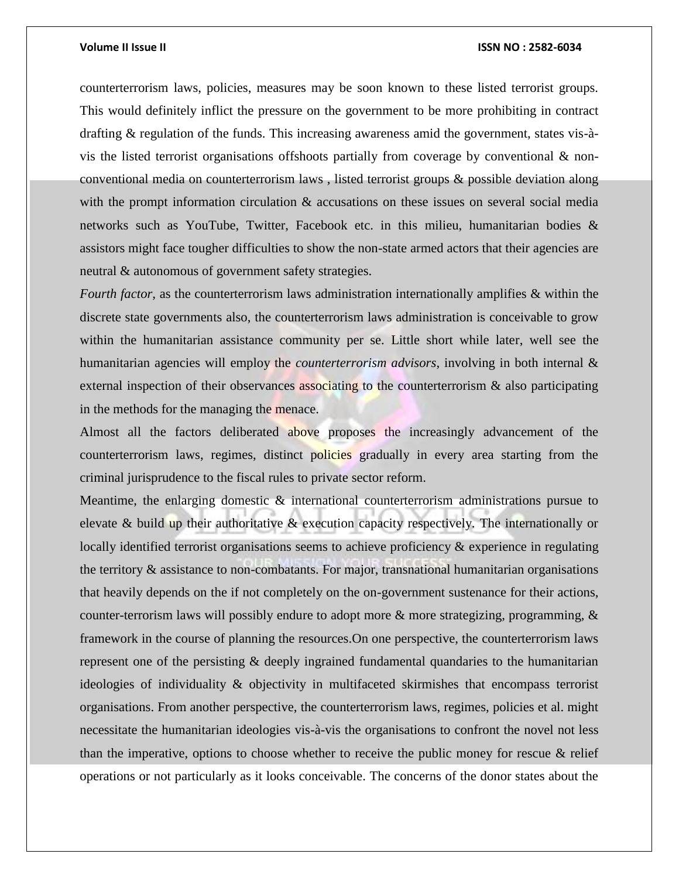counterterrorism laws, policies, measures may be soon known to these listed terrorist groups. This would definitely inflict the pressure on the government to be more prohibiting in contract drafting & regulation of the funds. This increasing awareness amid the government, states vis-àvis the listed terrorist organisations offshoots partially from coverage by conventional  $\&$  nonconventional media on counterterrorism laws , listed terrorist groups & possible deviation along with the prompt information circulation  $\&$  accusations on these issues on several social media networks such as YouTube, Twitter, Facebook etc. in this milieu, humanitarian bodies & assistors might face tougher difficulties to show the non-state armed actors that their agencies are neutral & autonomous of government safety strategies.

*Fourth factor,* as the counterterrorism laws administration internationally amplifies & within the discrete state governments also, the counterterrorism laws administration is conceivable to grow within the humanitarian assistance community per se. Little short while later, well see the humanitarian agencies will employ the *counterterrorism advisors*, involving in both internal & external inspection of their observances associating to the counterterrorism  $\&$  also participating in the methods for the managing the menace.

Almost all the factors deliberated above proposes the increasingly advancement of the counterterrorism laws, regimes, distinct policies gradually in every area starting from the criminal jurisprudence to the fiscal rules to private sector reform.

Meantime, the enlarging domestic & international counterterrorism administrations pursue to elevate & build up their authoritative & execution capacity respectively. The internationally or locally identified terrorist organisations seems to achieve proficiency & experience in regulating the territory & assistance to non-combatants. For major, transnational humanitarian organisations that heavily depends on the if not completely on the on-government sustenance for their actions, counter-terrorism laws will possibly endure to adopt more & more strategizing, programming, & framework in the course of planning the resources.On one perspective, the counterterrorism laws represent one of the persisting & deeply ingrained fundamental quandaries to the humanitarian ideologies of individuality & objectivity in multifaceted skirmishes that encompass terrorist organisations. From another perspective, the counterterrorism laws, regimes, policies et al. might necessitate the humanitarian ideologies vis-à-vis the organisations to confront the novel not less than the imperative, options to choose whether to receive the public money for rescue & relief operations or not particularly as it looks conceivable. The concerns of the donor states about the